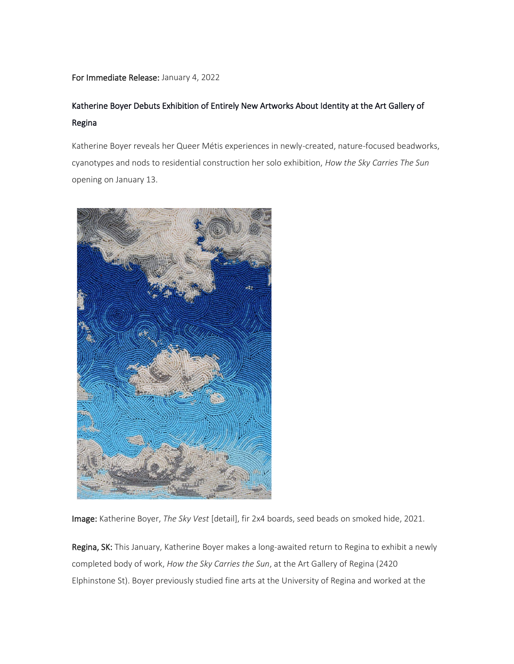## For Immediate Release: January 4, 2022

# Katherine Boyer Debuts Exhibition of Entirely New Artworks About Identity at the Art Gallery of Regina

Katherine Boyer reveals her Queer Métis experiences in newly-created, nature-focused beadworks, cyanotypes and nods to residential construction her solo exhibition, *How the Sky Carries The Sun* opening on January 13.



Image: Katherine Boyer, *The Sky Vest* [detail], fir 2x4 boards, seed beads on smoked hide, 2021.

Regina, SK: This January, Katherine Boyer makes a long-awaited return to Regina to exhibit a newly completed body of work, *How the Sky Carries the Sun*, at the Art Gallery of Regina (2420 Elphinstone St). Boyer previously studied fine arts at the University of Regina and worked at the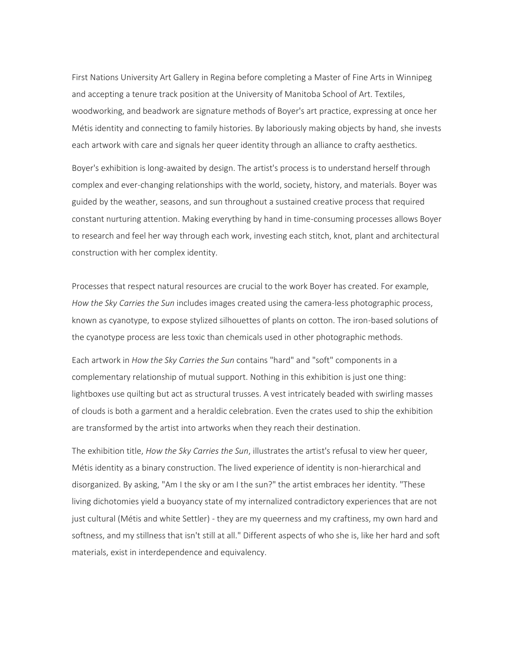First Nations University Art Gallery in Regina before completing a Master of Fine Arts in Winnipeg and accepting a tenure track position at the University of Manitoba School of Art. Textiles, woodworking, and beadwork are signature methods of Boyer's art practice, expressing at once her Métis identity and connecting to family histories. By laboriously making objects by hand, she invests each artwork with care and signals her queer identity through an alliance to crafty aesthetics.

Boyer's exhibition is long-awaited by design. The artist's process is to understand herself through complex and ever-changing relationships with the world, society, history, and materials. Boyer was guided by the weather, seasons, and sun throughout a sustained creative process that required constant nurturing attention. Making everything by hand in time-consuming processes allows Boyer to research and feel her way through each work, investing each stitch, knot, plant and architectural construction with her complex identity.

Processes that respect natural resources are crucial to the work Boyer has created. For example, *How the Sky Carries the Sun* includes images created using the camera-less photographic process, known as cyanotype, to expose stylized silhouettes of plants on cotton. The iron-based solutions of the cyanotype process are less toxic than chemicals used in other photographic methods.

Each artwork in *How the Sky Carries the Sun* contains "hard" and "soft" components in a complementary relationship of mutual support. Nothing in this exhibition is just one thing: lightboxes use quilting but act as structural trusses. A vest intricately beaded with swirling masses of clouds is both a garment and a heraldic celebration. Even the crates used to ship the exhibition are transformed by the artist into artworks when they reach their destination.

The exhibition title, *How the Sky Carries the Sun*, illustrates the artist's refusal to view her queer, Métis identity as a binary construction. The lived experience of identity is non-hierarchical and disorganized. By asking, "Am I the sky or am I the sun?" the artist embraces her identity. "These living dichotomies yield a buoyancy state of my internalized contradictory experiences that are not just cultural (Métis and white Settler) - they are my queerness and my craftiness, my own hard and softness, and my stillness that isn't still at all." Different aspects of who she is, like her hard and soft materials, exist in interdependence and equivalency.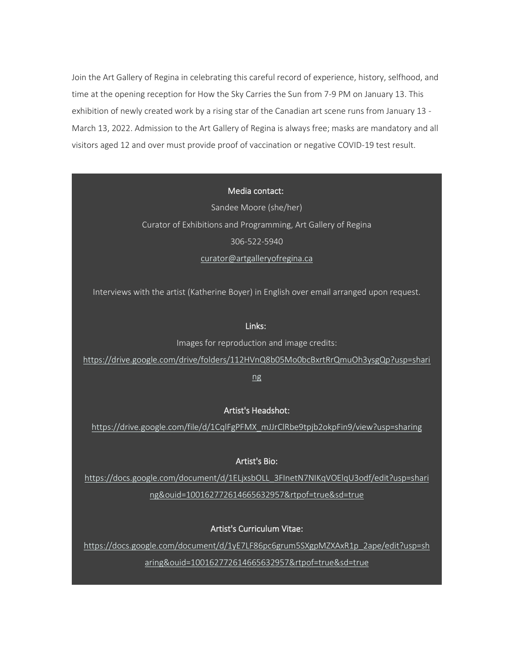Join the Art Gallery of Regina in celebrating this careful record of experience, history, selfhood, and time at the opening reception for How the Sky Carries the Sun from 7-9 PM on January 13. This exhibition of newly created work by a rising star of the Canadian art scene runs from January 13 - March 13, 2022. Admission to the Art Gallery of Regina is always free; masks are mandatory and all visitors aged 12 and over must provide proof of vaccination or negative COVID-19 test result.

Media contact:

Sandee Moore (she/her) Curator of Exhibitions and Programming, Art Gallery of Regina 306-522-5940 [curator@artgalleryofregina.ca](mailto:curator@artgalleryofregina.ca?subject=Re%3A%20Imagined%20Objects)

Interviews with the artist (Katherine Boyer) in English over email arranged upon request.

#### Links:

Images for reproduction and image credits:

[https://drive.google.com/drive/folders/112HVnQ8b05Mo0bcBxrtRrQmuOh3ysgQp?usp=shari](https://drive.google.com/drive/folders/112HVnQ8b05Mo0bcBxrtRrQmuOh3ysgQp?usp=sharing)

[ng](https://drive.google.com/drive/folders/112HVnQ8b05Mo0bcBxrtRrQmuOh3ysgQp?usp=sharing)

# Artist's Headshot:

[https://drive.google.com/file/d/1CqlFgPFMX\\_mJJrClRbe9tpjb2okpFin9/view?usp=sharing](https://drive.google.com/file/d/1CqlFgPFMX_mJJrClRbe9tpjb2okpFin9/view?usp=sharing)

# Artist's Bio:

[https://docs.google.com/document/d/1ELjxsbOLL\\_3FInetN7NIKqVOElqU3odf/edit?usp=shari](https://docs.google.com/document/d/1ELjxsbOLL_3FInetN7NIKqVOElqU3odf/edit?usp=sharing&ouid=100162772614665632957&rtpof=true&sd=true) [ng&ouid=100162772614665632957&rtpof=true&sd=true](https://docs.google.com/document/d/1ELjxsbOLL_3FInetN7NIKqVOElqU3odf/edit?usp=sharing&ouid=100162772614665632957&rtpof=true&sd=true)

#### Artist's Curriculum Vitae:

[https://docs.google.com/document/d/1yE7LF86pc6grum5SXgpMZXAxR1p\\_2ape/edit?usp=sh](https://docs.google.com/document/d/1yE7LF86pc6grum5SXgpMZXAxR1p_2ape/edit?usp=sharing&ouid=100162772614665632957&rtpof=true&sd=true)

[aring&ouid=100162772614665632957&rtpof=true&sd=true](https://docs.google.com/document/d/1yE7LF86pc6grum5SXgpMZXAxR1p_2ape/edit?usp=sharing&ouid=100162772614665632957&rtpof=true&sd=true)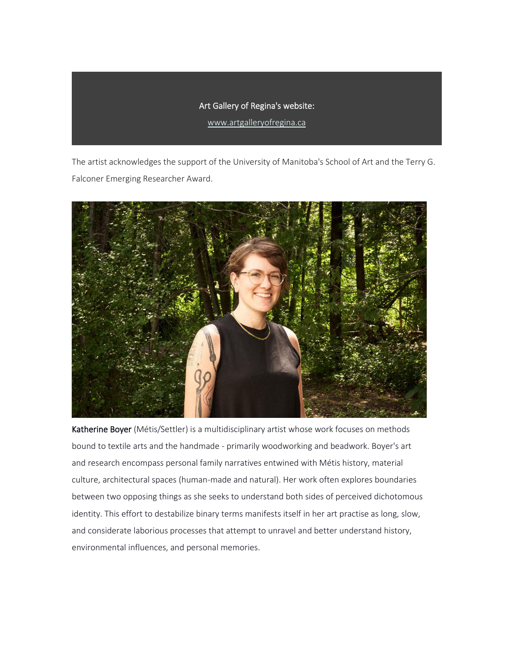# Art Gallery of Regina's website:

[www.artgalleryofregina.ca](https://www.artgalleryofregina.ca/upcoming-exhibition)

The artist acknowledges the support of the University of Manitoba's School of Art and the Terry G. Falconer Emerging Researcher Award.



Katherine Boyer (Métis/Settler) is a multidisciplinary artist whose work focuses on methods bound to textile arts and the handmade - primarily woodworking and beadwork. Boyer's art and research encompass personal family narratives entwined with Métis history, material culture, architectural spaces (human-made and natural). Her work often explores boundaries between two opposing things as she seeks to understand both sides of perceived dichotomous identity. This effort to destabilize binary terms manifests itself in her art practise as long, slow, and considerate laborious processes that attempt to unravel and better understand history, environmental influences, and personal memories.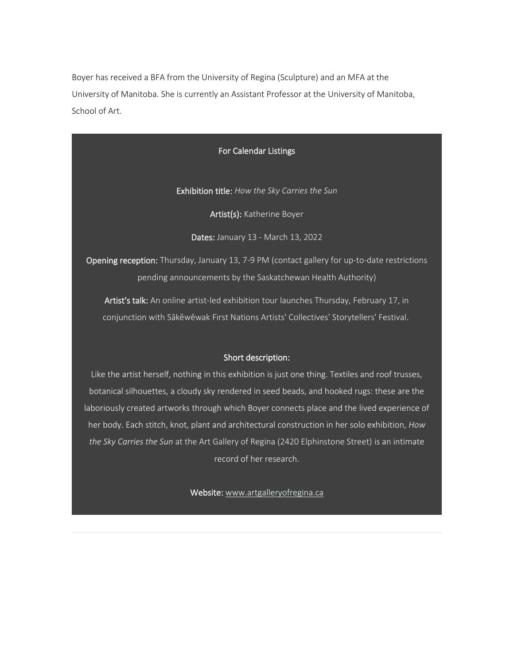Boyer has received a BFA from the University of Regina (Sculpture) and an MFA at the University of Manitoba. She is currently an Assistant Professor at the University of Manitoba, School of Art.

#### For Calendar Listings

Exhibition title: *How the Sky Carries the Sun*

Artist(s): Katherine Boyer

Dates: January 13 - March 13, 2022

Opening reception: Thursday, January 13, 7-9 PM (contact gallery for up-to-date restrictions pending announcements by the Saskatchewan Health Authority)

Artist's talk: An online artist-led exhibition tour launches Thursday, February 17, in conjunction with Sâkêwêwak First Nations Artists' Collectives' Storytellers' Festival.

### Short description:

Like the artist herself, nothing in this exhibition is just one thing. Textiles and roof trusses, botanical silhouettes, a cloudy sky rendered in seed beads, and hooked rugs: these are the laboriously created artworks through which Boyer connects place and the lived experience of her body. Each stitch, knot, plant and architectural construction in her solo exhibition, *How the Sky Carries the Sun* at the Art Gallery of Regina (2420 Elphinstone Street) is an intimate record of her research.

Website: [www.artgalleryofregina.ca](https://www.artgalleryofregina.ca/current-exhibition)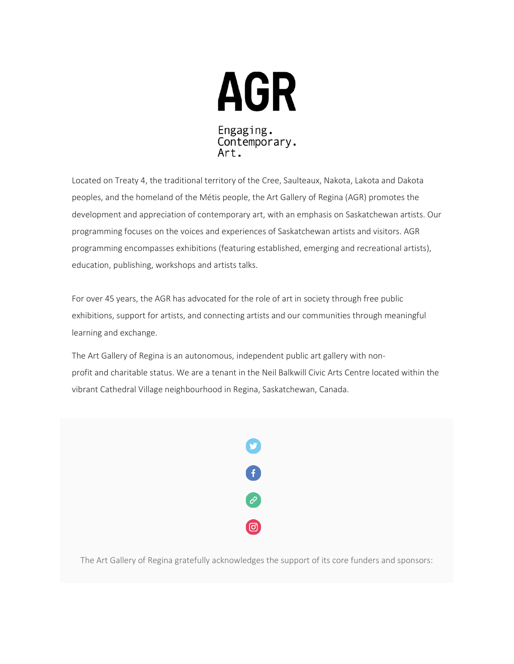

Located on Treaty 4, the traditional territory of the Cree, Saulteaux, Nakota, Lakota and Dakota peoples, and the homeland of the Métis people, the Art Gallery of Regina (AGR) promotes the development and appreciation of contemporary art, with an emphasis on Saskatchewan artists. Our programming focuses on the voices and experiences of Saskatchewan artists and visitors. AGR programming encompasses exhibitions (featuring established, emerging and recreational artists), education, publishing, workshops and artists talks.

For over 45 years, the AGR has advocated for the role of art in society through free public exhibitions, support for artists, and connecting artists and our communities through meaningful learning and exchange.

The Art Gallery of Regina is an autonomous, independent public art gallery with nonprofit and charitable status. We are a tenant in the Neil Balkwill Civic Arts Centre located within the vibrant Cathedral Village neighbourhood in Regina, Saskatchewan, Canada.



The Art Gallery of Regina gratefully acknowledges the support of its core funders and sponsors: